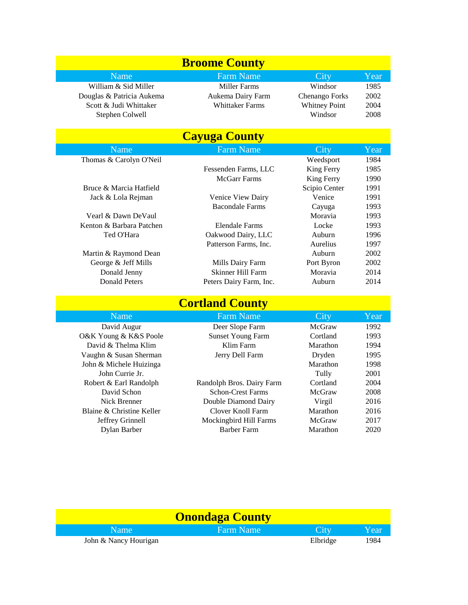| <b>Broome County</b>      |                        |                      |      |
|---------------------------|------------------------|----------------------|------|
| Name                      | <b>Farm Name</b>       | City                 | Year |
| William & Sid Miller      | Miller Farms           | Windsor              | 1985 |
| Douglas & Patricia Aukema | Aukema Dairy Farm      | Chenango Forks       | 2002 |
| Scott & Judi Whittaker    | <b>Whittaker Farms</b> | <b>Whitney Point</b> | 2004 |
| Stephen Colwell           |                        | Windsor              | 2008 |

| <b>Cayuga County</b>     |                         |                 |      |  |
|--------------------------|-------------------------|-----------------|------|--|
| Name                     | <b>Farm Name</b>        | City            | Year |  |
| Thomas & Carolyn O'Neil  |                         | Weedsport       | 1984 |  |
|                          | Fessenden Farms, LLC    | King Ferry      | 1985 |  |
|                          | McGarr Farms            | King Ferry      | 1990 |  |
| Bruce & Marcia Hatfield  |                         | Scipio Center   | 1991 |  |
| Jack & Lola Rejman       | Venice View Dairy       | Venice          | 1991 |  |
|                          | Bacondale Farms         | Cayuga          | 1993 |  |
| Vearl & Dawn DeVaul      |                         | Moravia         | 1993 |  |
| Kenton & Barbara Patchen | Elendale Farms          | Locke           | 1993 |  |
| Ted O'Hara               | Oakwood Dairy, LLC      | Auburn          | 1996 |  |
|                          | Patterson Farms, Inc.   | <b>Aurelius</b> | 1997 |  |
| Martin & Raymond Dean    |                         | Auburn          | 2002 |  |
| George & Jeff Mills      | Mills Dairy Farm        | Port Byron      | 2002 |  |
| Donald Jenny             | Skinner Hill Farm       | Moravia         | 2014 |  |
| Donald Peters            | Peters Dairy Farm, Inc. | Auburn          | 2014 |  |

| <b>Cortland County</b>    |                           |          |      |  |
|---------------------------|---------------------------|----------|------|--|
| Name                      | <b>Farm Name</b>          | City     | Year |  |
| David Augur               | Deer Slope Farm           | McGraw   | 1992 |  |
| O&K Young & K&S Poole     | <b>Sunset Young Farm</b>  | Cortland | 1993 |  |
| David & Thelma Klim       | Klim Farm                 | Marathon | 1994 |  |
| Vaughn & Susan Sherman    | Jerry Dell Farm           | Dryden   | 1995 |  |
| John & Michele Huizinga   |                           | Marathon | 1998 |  |
| John Currie Jr.           |                           | Tully    | 2001 |  |
| Robert & Earl Randolph    | Randolph Bros. Dairy Farm | Cortland | 2004 |  |
| David Schon               | <b>Schon-Crest Farms</b>  | McGraw   | 2008 |  |
| Nick Brenner              | Double Diamond Dairy      | Virgil   | 2016 |  |
| Blaine & Christine Keller | Clover Knoll Farm         | Marathon | 2016 |  |
| Jeffrey Grinnell          | Mockingbird Hill Farms    | McGraw   | 2017 |  |
| Dylan Barber              | <b>Barber Farm</b>        | Marathon | 2020 |  |

| <b>Onondaga County</b> |           |          |      |
|------------------------|-----------|----------|------|
| Name                   | Farm Name | City     | Year |
| John & Nancy Hourigan  |           | Elbridge | 1984 |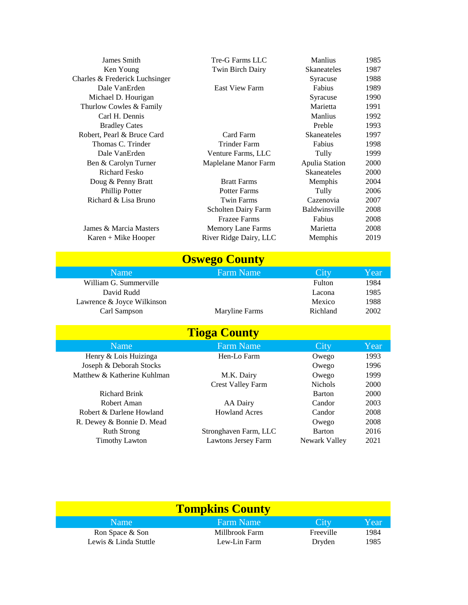| James Smith                    | Tre-G Farms LLC          | <b>Manlius</b>     | 1985        |
|--------------------------------|--------------------------|--------------------|-------------|
| Ken Young                      | Twin Birch Dairy         | <b>Skaneateles</b> | 1987        |
| Charles & Frederick Luchsinger |                          | Syracuse           | 1988        |
| Dale VanErden                  | <b>East View Farm</b>    | Fabius             | 1989        |
| Michael D. Hourigan            |                          | Syracuse           | 1990        |
| Thurlow Cowles & Family        |                          | Marietta           | 1991        |
| Carl H. Dennis                 |                          | <b>Manlius</b>     | 1992        |
| <b>Bradley Cates</b>           |                          | Preble             | 1993        |
| Robert, Pearl & Bruce Card     | Card Farm                | <b>Skaneateles</b> | 1997        |
| Thomas C. Trinder              | <b>Trinder Farm</b>      | Fabius             | 1998        |
| Dale VanErden                  | Venture Farms, LLC       | Tully              | 1999        |
| Ben & Carolyn Turner           | Maplelane Manor Farm     | Apulia Station     | <b>2000</b> |
| <b>Richard Fesko</b>           |                          | <b>Skaneateles</b> | 2000        |
| Doug & Penny Bratt             | <b>Bratt Farms</b>       | Memphis            | 2004        |
| Phillip Potter                 | <b>Potter Farms</b>      | Tully              | 2006        |
| Richard & Lisa Bruno           | <b>Twin Farms</b>        | Cazenovia          | 2007        |
|                                | Scholten Dairy Farm      | Baldwinsville      | 2008        |
|                                | <b>Frazee Farms</b>      | Fabius             | 2008        |
| James & Marcia Masters         | <b>Memory Lane Farms</b> | Marietta           | 2008        |
| Karen + Mike Hooper            | River Ridge Dairy, LLC   | Memphis            | 2019        |
|                                |                          |                    |             |

| <b>Oswego County</b>       |                  |          |      |  |
|----------------------------|------------------|----------|------|--|
| 'Name                      | <b>Farm Name</b> | City     | Year |  |
| William G. Summerville     |                  | Fulton   | 1984 |  |
| David Rudd                 |                  | Lacona   | 1985 |  |
| Lawrence & Joyce Wilkinson |                  | Mexico   | 1988 |  |
| Carl Sampson               | Maryline Farms   | Richland | 2002 |  |
| <b>Tioga County</b>        |                  |          |      |  |

| <u>Tiuga Cuulity</u> |                             |                       |                |      |
|----------------------|-----------------------------|-----------------------|----------------|------|
|                      | <b>Name</b>                 | <b>Farm Name</b>      | City           | Year |
|                      | Henry & Lois Huizinga       | Hen-Lo Farm           | Owego          | 1993 |
|                      | Joseph & Deborah Stocks     |                       | Owego          | 1996 |
|                      | Matthew & Katherine Kuhlman | M.K. Dairy            | Owego          | 1999 |
|                      |                             | Crest Valley Farm     | <b>Nichols</b> | 2000 |
|                      | <b>Richard Brink</b>        |                       | <b>Barton</b>  | 2000 |
|                      | Robert Aman                 | AA Dairy              | Candor         | 2003 |
|                      | Robert & Darlene Howland    | <b>Howland Acres</b>  | Candor         | 2008 |
|                      | R. Dewey & Bonnie D. Mead   |                       | Owego          | 2008 |
|                      | <b>Ruth Strong</b>          | Stronghaven Farm, LLC | <b>Barton</b>  | 2016 |
|                      | <b>Timothy Lawton</b>       | Lawtons Jersey Farm   | Newark Valley  | 2021 |
|                      |                             |                       |                |      |

| <b>Tompkins County</b>                   |                                |                     |              |
|------------------------------------------|--------------------------------|---------------------|--------------|
| Name:                                    | Farm Name                      | City                | Year         |
| Ron Space & Son<br>Lewis & Linda Stuttle | Millbrook Farm<br>Lew-Lin Farm | Freeville<br>Dryden | 1984<br>1985 |